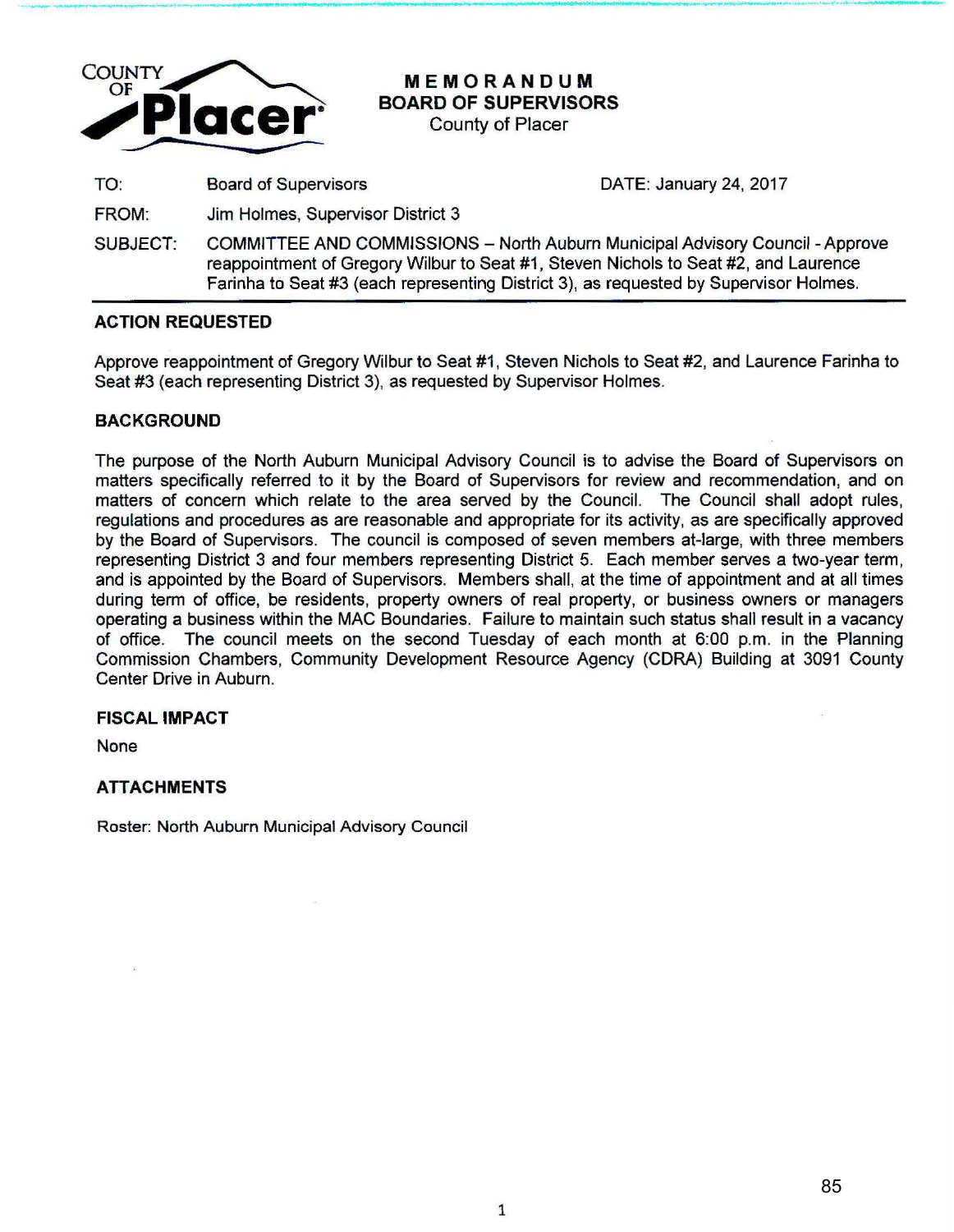

**MEMORANDUM BOARD OF SUPERVISORS** 

County of Placer

TO: Board of Supervisors DATE: January 24, 2017

FROM: Jim Holmes, Supervisor District 3

SUBJECT: COMMITTEE AND COMMISSIONS - North Auburn Municipal Advisory Council - Approve reappointment of Gregory Wilbur to Seat #1 , Steven Nichols to Seat #2, and Laurence Farinha to Seat #3 (each representing District 3), as requested by Supervisor Holmes.

## **ACTION REQUESTED**

Approve reappointment of Gregory Wilbur to Seat #1 , Steven Nichols to Seat #2, and Laurence Farinha to Seat #3 (each representing District 3}, as requested by Supervisor Holmes.

## **BACKGROUND**

The purpose of the North Auburn Municipal Advisory Council is to advise the Board of Supervisors on matters specifically referred to it by the Board of Supervisors for review and recommendation, and on matters of concern which relate to the area served by the Council. The Council shall adopt rules, regulations and procedures as are reasonable and appropriate for its activity, as are specifically approved by the Board of Supervisors. The council is composed of seven members at-large, with three members representing District 3 and four members representing District 5. Each member serves a two-year term, and is appointed by the Board of Supervisors. Members shall, at the time of appointment and at all times during term of office, be residents, property owners of real property, or business owners or managers operating a business within the MAC Boundaries. Failure to maintain such status shall result in a vacancy of office. The council meets on the second Tuesday of each month at 6:00 p.m. in the Planning Commission Chambers, Community Development Resource Agency (CORA) Building at 3091 County Center Drive in Auburn.

### **FISCAL IMPACT**

None

# **ATTACHMENTS**

Roster: North Auburn Municipal Advisory Council